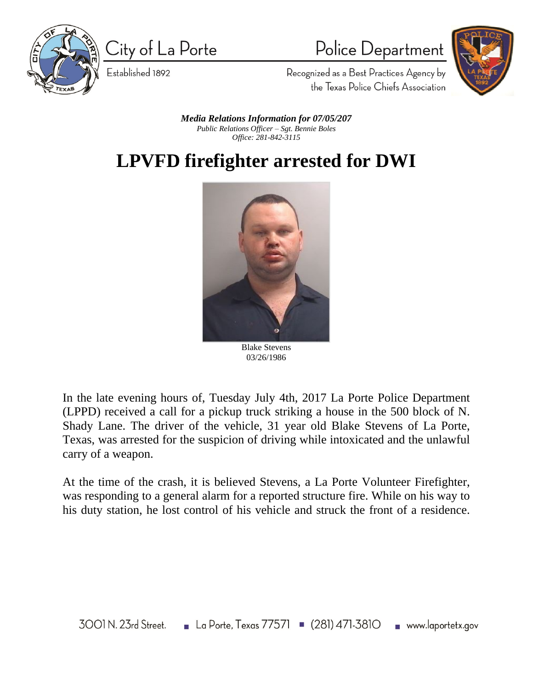

City of La Porte



Police Department

Recognized as a Best Practices Agency by the Texas Police Chiefs Association

*Media Relations Information for 07/05/207 Public Relations Officer – Sgt. Bennie Boles Office: 281-842-3115*

## **LPVFD firefighter arrested for DWI**



Blake Stevens 03/26/1986

In the late evening hours of, Tuesday July 4th, 2017 La Porte Police Department (LPPD) received a call for a pickup truck striking a house in the 500 block of N. Shady Lane. The driver of the vehicle, 31 year old Blake Stevens of La Porte, Texas, was arrested for the suspicion of driving while intoxicated and the unlawful carry of a weapon.

At the time of the crash, it is believed Stevens, a La Porte Volunteer Firefighter, was responding to a general alarm for a reported structure fire. While on his way to his duty station, he lost control of his vehicle and struck the front of a residence.